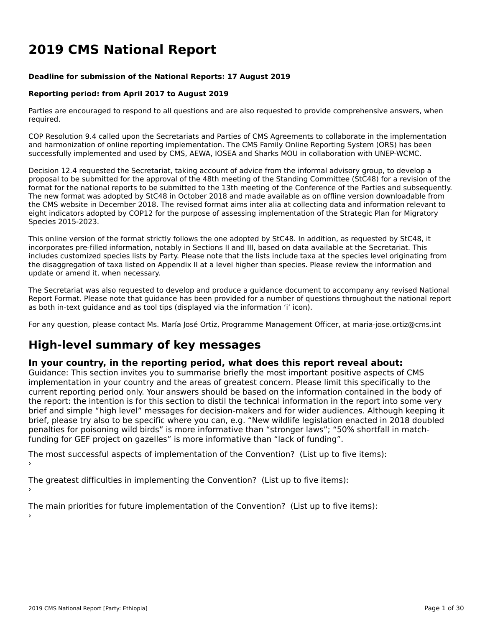# **2019 CMS National Report**

#### **Deadline for submission of the National Reports: 17 August 2019**

### **Reporting period: from April 2017 to August 2019**

Parties are encouraged to respond to all questions and are also requested to provide comprehensive answers, when required.

COP Resolution 9.4 called upon the Secretariats and Parties of CMS Agreements to collaborate in the implementationand harmonization of online reporting implementation. The CMS Family Online Reporting System (ORS) has been successfully implemented and used by CMS, AEWA, IOSEA and Sharks MOU in collaboration with UNEP-WCMC.

Decision 12.4 requested the Secretariat, taking account of advice from the informal advisory group, to develop a proposal to be submitted for the approval of the 48th meeting of the Standing Committee (StC48) for a revision of the proposal to be submitted for the approval of the 48th meeting of the Standing Committee (StC48) for a re format for the national reports to be submitted to the 13th meeting of the Conference of the Parties and subsequently. The new format was adopted by StC48 in October 2018 and made available as on offline version downloadable from the CMS website in December 2018. The revised format aims inter alia at collecting data and information relevant to eight indicators adopted by COP12 for the purpose of assessing implementation of the Strategic Plan for Migratory Species 2015-2023.

This online version of the format strictly follows the one adopted by StC48. In addition, as requested by StC48, it incorporates pre-filled information, notably in Sections II and III, based on data available at the Secretariat. This includes customized species lists by Party. Please note that the lists include taxa at the species level originating from the disaggregation of taxa listed on Appendix II at a level higher than species. Please review the information and update or amend it, when necessary.

The Secretariat was also requested to develop and produce a guidance document to accompany any revised National The Secretariat was also requested to develop and produce a guidance document to accompany any revised National<br>Report Format. Please note that guidance has been provided for a number of questions throughout the national r as both in-text guidance and as tool tips (displayed via the information 'i' icon).

For any question, please contact Ms. María José Ortiz, Programme Management Officer, at maria-jose.ortiz@cms.int

# **High-level summary of key messages**

### **In your country, in the reporting period, what does this report reveal about:**

In your country, in the reporting period, what does this report revear about.<br>Guidance: This section invites you to summarise briefly the most important positive aspects of CMS implementation in your country and the areas of greatest concern. Please limit this specifically to the reprementation in your country and the areas or greatest content. Frease limit this specifically to the<br>current reporting period only. Your answers should be based on the information contained in the body of brief and simple "high level" messages for decision-makers and for wider audiences. Although keeping itbrief, plus simple tright level messages for decision-makers and for where addenies. Although New Wildlife legislation enacted in 2018 doubled penalties for poisoning wild birds" is more informative than "stronger laws"; "50% shortfall in matchfunding for GEF project on gazelles" is more informative than "lack of funding".

The most successful aspects of implementation of the Convention? (List up to five items):

The greatest difficulties in implementing the Convention? (List up to five items):

The main priorities for future implementation of the Convention? (List up to five items):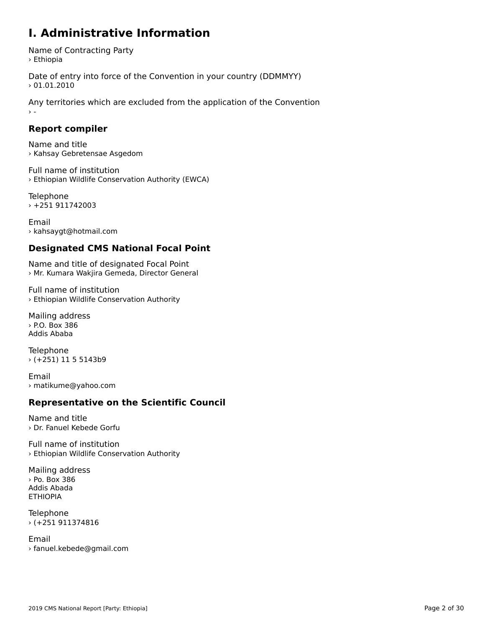### **I. Administrative Information**

Name of Contracting Party > Ethiopia

Date of entry into force of the Convention in your country (DDMMYY)  $> 01.01.2010$ 

Any territories which are excluded from the application of the Convention › -

### **Report compiler**

Name and title › Kahsay Gebretensae Asgedom

Full name of institution › Ethiopian Wildlife Conservation Authority (EWCA)

Telephone › +251 911742003

Email› kahsaygt@hotmail.com

### **Designated CMS National Focal Point**

Name and title of designated Focal Point › Mr. Kumara Wakjira Gemeda, Director General

Full name of institution› Ethiopian Wildlife Conservation Authority

Mailing address › P.O. Box 386Addis Ababa

Telephone › (+251) 11 5 5143b9

Email› matikume@yahoo.com

### **Representative on the Scientific Council**

Name and title› Dr. Fanuel Kebede Gorfu

Full name of institution › Ethiopian Wildlife Conservation Authority

Mailing address › Po. Box 386Addis AbadaETHIOPIA

Telephone › (+251 911374816

Email› fanuel.kebede@gmail.com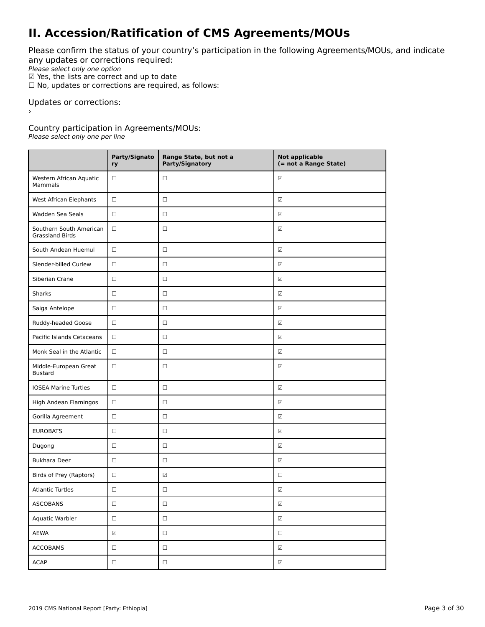# **II. Accession/Ratification of CMS Agreements/MOUs**

Please confirm the status of your country's participation in the following Agreements/MOUs, and indicate any updates or corrections required:

any apaaces of correctiv<br>Please select only one option

 $\Psi$  Yes, the lists are correct and up to date<br> $\Psi$  Yes, the lists are correct and up to date

 $\Box$  No, updates or corrections are required, as follows:

Updates or corrections:

Country participation in Agreements/MOUs:

Please select only one per line

|                                                   | Party/Signato<br>ry         | Range State, but not a<br>Party/Signatory | <b>Not applicable</b><br>(= not a Range State) |
|---------------------------------------------------|-----------------------------|-------------------------------------------|------------------------------------------------|
| Western African Aquatic<br>Mammals                | □                           | $\Box$                                    | ☑                                              |
| West African Elephants                            | $\Box$                      | $\Box$                                    | $\overline{\mathcal{L}}$                       |
| Wadden Sea Seals                                  | $\Box$                      | $\Box$                                    | $\overline{\mathcal{L}}$                       |
| Southern South American<br><b>Grassland Birds</b> | $\Box$                      | $\Box$                                    | ☑                                              |
| South Andean Huemul                               | $\Box$                      | $\Box$                                    | $\overline{\mathcal{L}}$                       |
| Slender-billed Curlew                             | $\Box$                      | $\Box$                                    | $\overline{\mathcal{L}}$                       |
| Siberian Crane                                    | $\Box$                      | $\Box$                                    | $\overline{\mathcal{L}}$                       |
| <b>Sharks</b>                                     | □                           | $\Box$                                    | ☑                                              |
| Saiga Antelope                                    | □                           | $\Box$                                    | ☑                                              |
| Ruddy-headed Goose                                | $\Box$                      | $\Box$                                    | $\overline{\mathcal{L}}$                       |
| Pacific Islands Cetaceans                         | $\Box$                      | $\Box$                                    | $\overline{\mathcal{L}}$                       |
| Monk Seal in the Atlantic                         | $\Box$                      | $\Box$                                    | ☑                                              |
| Middle-European Great<br><b>Bustard</b>           | $\Box$                      | $\Box$                                    | ☑                                              |
| <b>IOSEA Marine Turtles</b>                       | $\Box$                      | $\Box$                                    | $\overline{\mathcal{L}}$                       |
| High Andean Flamingos                             | $\Box$                      | $\Box$                                    | ☑                                              |
| Gorilla Agreement                                 | $\Box$                      | $\Box$                                    | $\overline{\mathcal{L}}$                       |
| <b>EUROBATS</b>                                   | □                           | $\Box$                                    | ☑                                              |
| Dugong                                            | □                           | $\Box$                                    | ☑                                              |
| <b>Bukhara Deer</b>                               | $\Box$                      | $\Box$                                    | $\overline{\mathcal{L}}$                       |
| Birds of Prey (Raptors)                           | $\Box$                      | $\overline{\checkmark}$                   | $\Box$                                         |
| <b>Atlantic Turtles</b>                           | □                           | $\Box$                                    | $\sqrt{ }$                                     |
| <b>ASCOBANS</b>                                   | $\Box$                      | $\Box$                                    | $\overline{\Delta}$                            |
| Aquatic Warbler                                   | $\Box$                      | $\Box$                                    | $\sqrt{\phantom{a}}$                           |
| AEWA                                              | $\overline{\blacktriangle}$ | $\Box$                                    | $\Box$                                         |
| <b>ACCOBAMS</b>                                   | $\Box$                      | $\Box$                                    | $\overline{\Delta}$                            |
| <b>ACAP</b>                                       | $\Box$                      | $\Box$                                    | $\overline{\Delta}$                            |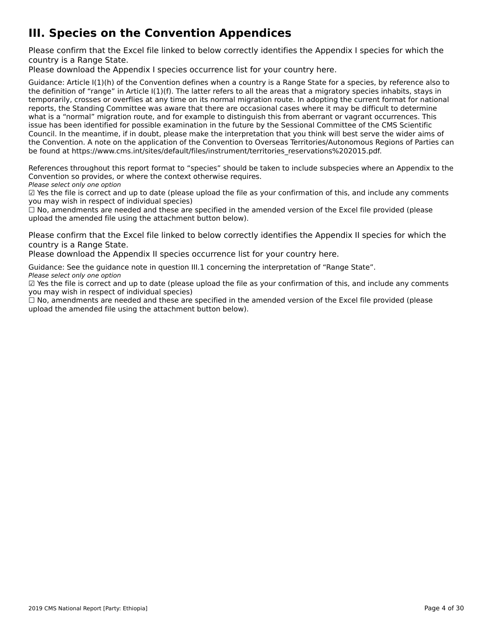# **III. Species on the Convention Appendices**

Please confirm that the Excel file linked to below correctly identifies the Appendix I species for which the

Please download the Appendix I species occurrence list for your country [here](http://tinyurl.com/y3yendbg).

Guidance: Article I(1)(h) of the Convention defines when a country is a Range State for a species, by reference also to the definition of "range" in Article I(1)(f). The latter refers to all the areas that a migratory species inhabits, stays in the deminion of Tange in Article ((1)(1). The facter felers to an the areas that a migratory species imfabits, stays in<br>temporarily, crosses or overflies at any time on its normal migration route. In adopting the current f reports, the Standing Committee was aware that there are occasional cases where it may be difficult to determine what is a "normal" migration route, and for example to distinguish this from aberrant or vagrant occurrences. This what is a "hormal" migration route, and for example to distinguish this nonraberrant or vagrant occurrences. Th<br>issue has been identified for possible examination in the future by the Sessional Committee of the CMS Scienti Council. In the meantime, if in doubt, please make the interpretation that you think will best serve the wider aims of the Convention. A note on the application of the Convention to Overseas Territories/Autonomous Regions of Parties can the convention. A note on the application of the convention to Overseas Territories/Adtonomous Re<br>be found at https://www.cms.int/sites/default/files/instrument/territories\_reservations%202015.pdf.

References throughout this report format to "species" should be taken to include subspecies where an Appendix to the References unbugnout this report format to "species" should be t<br>Convention so provides, or where the context otherwise requires.

Please select only one option

*riease select only one option*<br>മ Yes the file is correct and up to date (please upload the file as your confirmation of this, and include any comments  $\Xi$  ies the nie is correct and up to date (please<br>you may wish in respect of individual species)

you may wish in respect of mulvidual species)<br>□ No, amendments are needed and these are specified in the amended version of the Excel file provided (please  $\square$  ivo, amendments are needed and these are specified in the<br>upload the amended file using the attachment button below).

Please confirm that the Excel file linked to below correctly identifies the Appendix II species for which the

Please download the Appendix II species occurrence list for your country [here](http://tinyurl.com/y3yendbg).

Guidance: See the guidance note in question III.1 concerning the interpretation of "Range State". Please select only one option

*riease select only one option*<br>മ Yes the file is correct and up to date (please upload the file as your confirmation of this, and include any comments  $\Xi$  ies the nie is correct and up to date (please<br>you may wish in respect of individual species)

☐ No, amendments are needed and these are specified in the amended version of the Excel file provided (please upload the amended file using the attachment button below).upload the amended file using the attachment button below).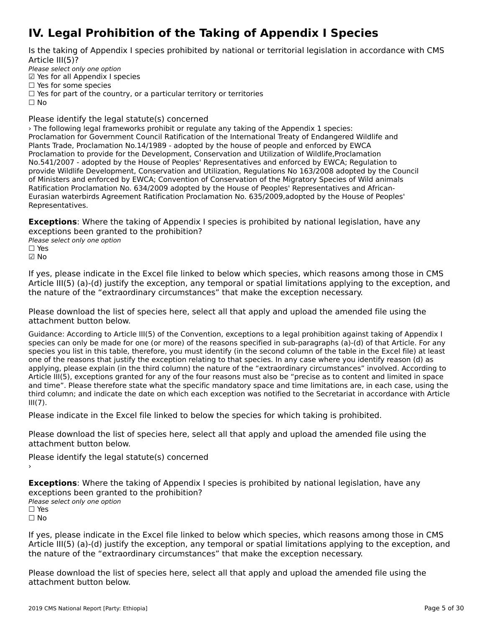# **IV. Legal Prohibition of the Taking of Appendix I Species**

Is the taking of Appendix I species prohibited by national or territorial legislation in accordance with CMS

Please select only one option Prease select only one option<br>☑ Yes for all Appendix I species  $\Box$  Yes for some species

□ Tes for some species<br>□ Yes for part of the country, or a particular territory or territories

 $\Box$  No

Please identify the legal statute(s) concerned

› The following legal frameworks prohibit or regulate any taking of the Appendix 1 species: **Princhologing in all alligency** is profibite of regulate any taking of the Appendix I Species.<br>Proclamation for Government Council Ratification of the International Treaty of Endangered Wildlife and Plants Trade, Proclamation No.14/1989 - adopted by the house of people and enforced by EWCA Proclamation to provide for the Development, Conservation and Utilization of Wildlife,Proclamation No.541/2007 - adopted by the House of Peoples' Representatives and enforced by EWCA; Regulation to provide Wildlife Development, Conservation and Utilization, Regulations No 163/2008 adopted by the Council of Ministers and enforced by EWCA; Convention of Conservation of the Migratory Species of Wild animals Ratification Proclamation No. 634/2009 adopted by the House of Peoples' Representatives and African-Natification Froclamation No. 034/2009 adopted by the House of Feoples Nepresentatives and African-<br>Eurasian waterbirds Agreement Ratification Proclamation No. 635/2009,adopted by the House of Peoples' Representatives.

**Exceptions**: Where the taking of Appendix I species is prohibited by national legislation, have any exceptions been granted to the prohibition?

**Please select only one option** 

☑ No

If yes, please indicate in the Excel file linked to below which species, which reasons among those in CMS<br>Article III(5) (a)-(d) justify the exception, any temporal or spatial limitations applying to the exception, and  $t_{\rm H}$  the natural results of the exception, any temporary spatial minimum applying to the exception, and

Please download the list of species [here](http://tinyurl.com/y66dcyte), select all that apply and upload the amended file using the

Guidance: According to Article III(5) of the Convention, exceptions to a legal prohibition against taking of Appendix I species can only be made for one (or more) of the reasons specified in sub-paragraphs (a)-(d) of that Article. For any species can only be made for one (or more) or the reasons specified in sub-paragraphs (a)-(u) or that Article. For any<br>species you list in this table, therefore, you must identify (in the second column of the table in the species you ust in this table, therefore, you must identify (in the second column of the table in the Excernie) at le<br>one of the reasons that justify the exception relating to that species. In any case where you identify r applying, please explain (in the third column) the nature of the "extraordinary circumstances" involved. According to Article III(5), exceptions granted for any of the four reasons must also be "precise as to content and limited in space and unit column; and indicate the date what the specific manuatory space that the Secretariate; in each case, while the Secretariat in accordance with Article third column; and indicate the date on which each exception was notified to the Secretariat in accordance with Article umu<br>III(7).

Please indicate in the Excel file linked to below the species for which taking is prohibited.

Please download the list of species [here](http://tinyurl.com/y4drhzs6), select all that apply and upload the amended file using the attachment button below.

Please identify the legal statute(s) concerned

**Exceptions**: Where the taking of Appendix I species is prohibited by national legislation, have any exceptions been granted to the prohibition? **Please select only one option**  $\square$  Yes

ים וכ<br>⊡ No

If yes, please indicate in the Excel file linked to below which species, which reasons among those in CMS n yes, please indicate in the Exception, any temporal or spatial limitations applying to the exception, and<br>Article III(5) (a)-(d) justify the exception, any temporal or spatial limitations applying to the exception, and the nature of the "extraordinary circumstances" that make the exception necessary.

Please download the list of species [here](http://tinyurl.com/y66dcyte), select all that apply and upload the amended file using the attachment button below.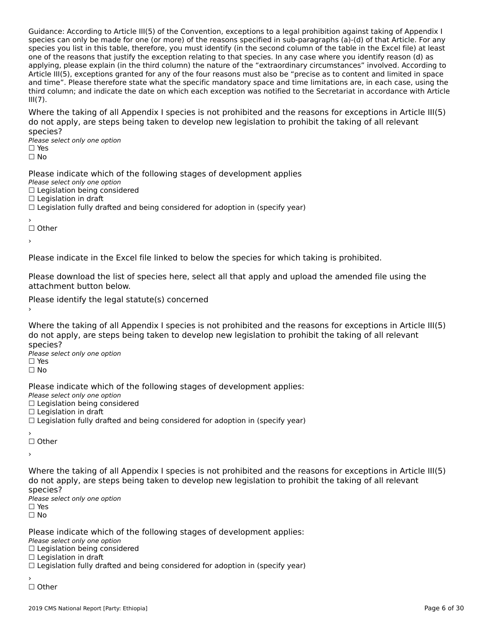Guidance: According to Article III(5) of the Convention, exceptions to a legal prohibition against taking of Appendix I species can only be made for one (or more) of the reasons specified in sub-paragraphs (a)-(d) of that Article. For any species can only be made for one (or more) or the reasons specified in sub-paragraphs (a)-(u) or that Article. For any<br>species you list in this table, therefore, you must identify (in the second column of the table in the species you ust in this table, therefore, you must identify (in the second column of the table in the Excernie) at le<br>one of the reasons that justify the exception relating to that species. In any case where you identify r applying, please explain (in the third column) the nature of the "extraordinary circumstances" involved. According to Article III(5), exceptions granted for any of the four reasons must also be "precise as to content and limited in space and time". Please therefore state what the specific mandatory space and time limitations are, in each case, using the and time. The ase therefore state what the specific manuatory space and time immetions are, in each case, using the<br>third column; and indicate the date on which each exception was notified to the Secretariat in accordance  $III(7)$ .

Where the taking of all Appendix I species is not prohibited and the reasons for exceptions in Article III(5) where the taking of an Appendix I species is not prombited and the reasons for exceptions in Article<br>do not apply, are steps being taken to develop new legislation to prohibit the taking of all relevant

Please select only one option ☐ Yes□ Yes<br>□ No

Please indicate which of the following stages of development applies Please select only one option□ Legislation being considered □ Legislation being c<br>□ Legislation in draft □ Legislation in drait<br>□ Legislation fully drafted and being considered for adoption in (specify year)

☐ Other

›

Please indicate in the Excel file linked to below the species for which taking is prohibited.

Please download the list of species [here](http://tinyurl.com/y4drhzs6), select all that apply and upload the amended file using the

Please identify the legal statute(s) concerned

Where the taking of all Appendix I species is not prohibited and the reasons for exceptions in Article III(5) do not apply, are steps being taken to develop new legislation to prohibit the taking of all relevant species?

⊃peete∋.<br>Please select only one option □ Yes<br>□ No

Please indicate which of the following stages of development applies: Please select only one optionPrease select only one option<br>□ Legislation being considered  $\Box$  Legislation in draft □ Legislation in drait<br>□ Legislation fully drafted and being considered for adoption in (specify year)

☐ Other

›

Where the taking of all Appendix I species is not prohibited and the reasons for exceptions in Article III(5) do not apply, are steps being taken to develop new legislation to prohibit the taking of all relevant species?

Please select only one option ☐ Yes $\square$  Yes

☐ No

Please indicate which of the following stages of development applies:

ricase mareace which o<br>Please select only one option

Prease select only one option<br>□ Legislation being considered

 $\Box$  Legislation in draft

□ Legislation in drait<br>□ Legislation fully drafted and being considered for adoption in (specify year)

′<br>□ Other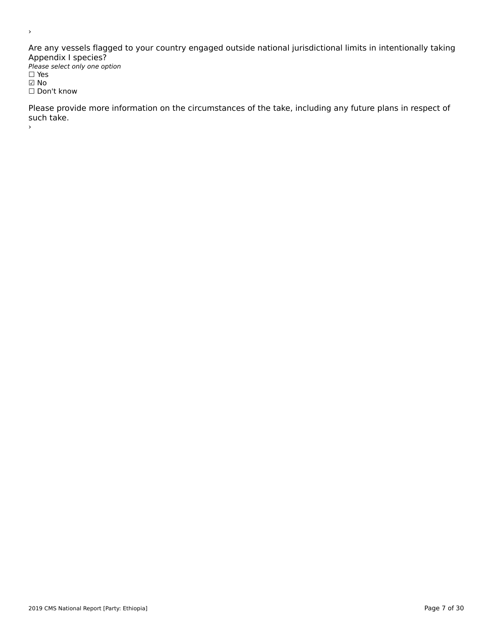Are any vessels flagged to your country engaged outside national jurisdictional limits in intentionally taking<br>Appendix Langgias? Please select only one option

*riease*<br>□ Yes ☑ No ⊠ No<br>□ Don't know

Please provide more information on the circumstances of the take, including any future plans in respect of such canc.

 $\,$ 

›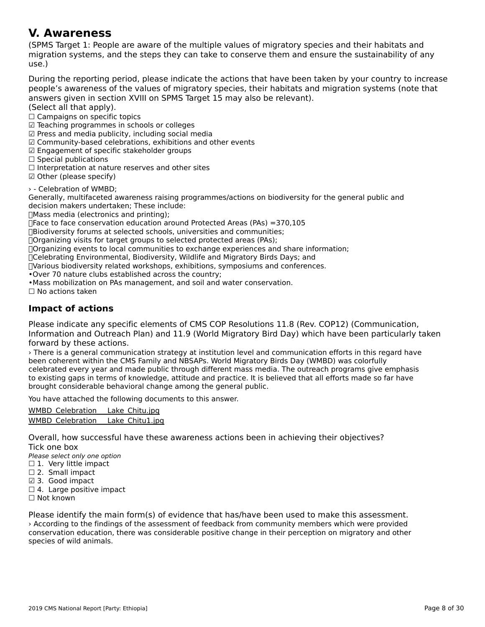### **V. Awareness**

(SPMS Target 1: People are aware of the multiple values of migratory species and their habitats and migration systems, and the steps they can take to conserve them and ensure the sustainability of anymigration systems, and the steps they can take to conserve them and ensure the sustainability of any use.)

During the reporting period, please indicate the actions that have been taken by your country to increase people's aware liess of the Valley of Highatoly species, their happens and implation systems (note that

answers given in secul<br>(Select all that apply).

University on the tapply.<br>○ Campaigns on specific topics

□ Campaigns on specific topics<br>☑ Teaching programmes in schools or colleges

☑ Press and media publicity, including social media

⊠ Fress and media publicity, including social media<br>☑ Community-based celebrations, exhibitions and other events

☑ Engagement of specific stakeholder groups

⊠ Engagement or spet<br>□ Special publications

□ Special publications<br>□ Interpretation at nature reserves and other sites

□ interpretation at natur<br>☑ Other (please specify)

› - Celebration of WMBD;

Seculation of WMDD,<br>Generally, multifaceted awareness raising programmes/actions on biodiversity for the general public and decision makers undertaken; These include:

Mass media (electronics and printing);

היים ובכבריים (enectronics and printing),<br>∏Face to face conservation education around Protected Areas (PAs) =370,105

 $B$ iodiversity forums at selected schools, universities and communities;<br> $B$ 

∏Organizing visits for target groups to selected protected areas (PAs);

Organizing events to local communities to exchange experiences and share information;

Celebrating Environmental, Biodiversity, Wildlife and Migratory Birds Days; and

Various biodiversity related workshops, exhibitions, symposiums and conferences.

•Over 70 nature clubs established across the country;

•Mass mobilization on PAs management, and soil and water conservation.

•iviass mobilization<br>□ No actions taken

### **Impact of actions**

Please indicate any specific elements of CMS COP Resolutions 11.8 (Rev. COP12) (Communication,<br>Information and Outreach Plan) and 11.9 (World Migratory Bird Day) which have been particularly taken minimation and Outreach Fran) and II.9 (Wond Migratory Bird Day) which have been particularly taken.<br>forward by the U

› There is a general communication strategy at institution level and communication efforts in this regard have been coherent within the CMS Family and NBSAPs. World Migratory Birds Day (WMBD) was colorfully celebrated every year and made public through different mass media. The outreach programs give emphasis to existing gaps in terms of knowledge, attitude and practice. It is believed that all efforts made so far have to existing gaps in terms or knowledge, attitude and practice. It is b<br>brought considerable behavioral change among the general public.

You have attached the following documents to this answer.

WMBD\_Celebration Lake Chitu.jpg [WMBD\\_Celebration\\_\\_\\_Lake\\_Chitu1.jp](http://cms-ort.ort-production.linode.unep-wcmc.org/answers/2670740/documents/1953)[g](http://cms-ort.ort-production.linode.unep-wcmc.org/answers/2670740/documents/1952)

Overall, how successful have these awareness actions been in achieving their objectives? Overall, HOW<br>Tick on a box

∩iek one box<br>Please select only one option

 $\Box$  1. Very little impact

 $□$  1. Very little link<br> $□$  2. Small impact

☑ 3. Good impact

⊠ 3. Good impact<br>□ 4. Large positive impact

☐ Not known

Please identify the main form(s) of evidence that has/have been used to make this assessment. rease identity the main form(s) or evidence that has have been used to make this assessment.<br>According to the findings of the assessment of feedback from community members which were provided conservation education, there was considerable positive change in their perception on migratory and other conservation education,<br>species of wild animals.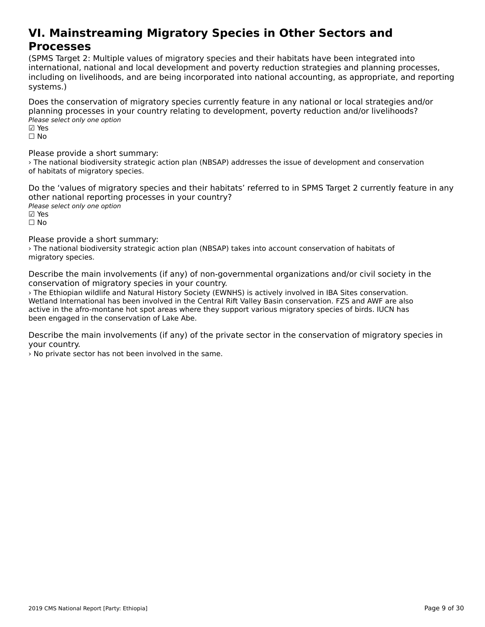#### **VI. Mainstreaming Migratory Species in Other Sectors andProcesses**<br>Processes **Processes**

(SPMS Target 2: Multiple values of migratory species and their habitats have been integrated into international, national and local development and poverty reduction strategies and planning processes, incernational, hational and local development and poverty reduction strategies and planning processes,<br>including on livelihoods, and are being incorporated into national accounting, as appropriate, and reporting systems.)

Does the conservation of migratory species currently feature in any national or local strategies and/or planning processes in your country relating to development, poverty reduction and/or livelihoods? pianning processes in y<br>Please select only one option

⊠ Yes<br>□ No

Please provide a short summary:

I case provide a short sammary.<br>> The national biodiversity strategic action plan (NBSAP) addresses the issue of development and conservation of habitats of migratory species.

Do the 'values of migratory species and their habitats' referred to in SPMS Target 2 currently feature in any other national reporting processes in your country? Please select only one option ☑ Yes

☐ No

Please provide a short summary:

riedse provide a short summary.<br>> The national biodiversity strategic action plan (NBSAP) takes into account conservation of habitats of migratory species.

Describe the main involvements (if any) of non-governmental organizations and/or civil society in the conservation of migratory species in your country.

› The Ethiopian wildlife and Natural History Society (EWNHS) is actively involved in IBA Sites conservation. Wetland International has been involved in the Central Rift Valley Basin conservation. FZS and AWF are also we hand international has been involved in the Central Kilt valley basili conservation. I 23 and AWI are also<br>active in the afro-montane hot spot areas where they support various migratory species of birds. IUCN has active in the ano-montane not spot areas when<br>been engaged in the conservation of Lake Abe.

Describe the main involvements (if any) of the private sector in the conservation of migratory species in your country.

› No private sector has not been involved in the same.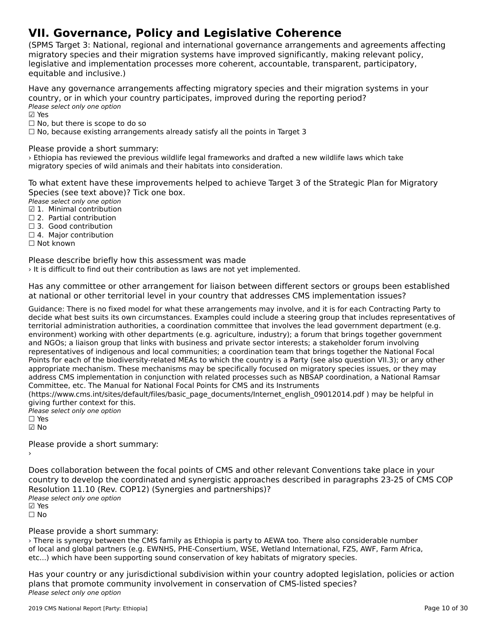# **VII. Governance, Policy and Legislative Coherence**

(SPMS Target 3: National, regional and international governance arrangements and agreements affecting migratory species and their migration systems have improved significantly, making relevant policy, lingratory species and their migration systems nave improved significantly, making relevant polic<sub>i</sub><br>legislative and implementation processes more coherent, accountable, transparent, participatory, equitable and inclusive.)

Have any governance arrangements affecting migratory species and their migration systems in your country, or in which your country participates, improved during the reporting period? country, or m wmcn you<br>Please select only one option

⊠ Yes

☐ No, but there is scope to do so

□ No, but there is scope to do so<br>□ No, because existing arrangements already satisfy all the points in Target 3

Please provide a short summary:

› Ethiopia has reviewed the previous wildlife legal frameworks and drafted a new wildlife laws which take migratory species of wild animals and their habitats into consideration.

To what extent have these improvements helped to achieve Target 3 of the Strategic Plan for Migratory Species (see text above)? Tick one box.

**Please select only one option** 

- ☑ 1. Minimal contribution
- □ 2. Partial contribution
- □ 2. Fartial contribution<br>□ 3. Good contribution
- □ 5. Oood contribution<br>□ 4. Major contribution
- ☐ Not known

Please describe briefly how this assessment was made

› It is difficult to find out their contribution as laws are not yet implemented.

Has any committee or other arrangement for liaison between different sectors or groups been established rias any committee or other arrangement for naison between unferent sectors or groups been t<br>at national or other territorial level in your country that addresses CMS implementation issues?

Guidance: There is no fixed model for what these arrangements may involve, and it is for each Contracting Party to decide what best suits its own circumstances. Examples could include a steering group that includes representatives of territorial administration authorities, a coordination committee that involves the lead government department (e.g. environment) working with other departments (e.g. agriculture, industry); a forum that brings together government and NGOs; a liaison group that links with business and private sector interests; a stakeholder forum involving representatives of indigenous and local communities; a coordination team that brings together the National Focal Points for each of the biodiversity-related MEAs to which the country is a Party (see also question VII.3); or any other appropriate mechanism. These mechanisms may be specifically focused on migratory species issues, or they may appropriate mechanism. These mechanisms may be specifically focused on imigratory species issues, or they may<br>address CMS implementation in conjunction with related processes such as NBSAP coordination, a National Ramsar Committee, etc. The Manual for National Focal Points for CMS and its Instruments

Committee, etc. The Manual for National Pocal Points for CM3 and its instruments<br>(https://www.cms.int/sites/default/files/basic\_page\_documents/Internet\_english\_09012014.pdf ) may be helpful in giving further context for this.

- giving further context for t<br>Please select only one option
- ☐ Yes☑ No

Please provide a short summary:›

Does collaboration between the focal points of CMS and other relevant Conventions take place in your<br>country to develop the coordinated and synemiatic approaches described in paragraphs 23-25 of CMS COP Resolution 11.10 (Rev. COP12) (Synergies and partnerships)?Resolution 11.10 (Rev. COP12) (Synergies and partnerships)? Please select only one option riease<br>☑ Yes ☐ No

### Please provide a short summary:

› There is synergy between the CMS family as Ethiopia is party to AEWA too. There also considerable number of local and global partners (e.g. EWNHS, PHE-Consertium, WSE, Wetland International, FZS, AWF, Farm Africa,  $\frac{1}{2}$ etc...) which have been supporting sound conservation of key habitats of migratory species.

Has your country or any jurisdictional subdivision within your country adopted legislation, policies or action<br>Regard that promote community involvement in conservation of CMS-listed species? plans that promote community involvement in conservation of CMS-listed species? Please select only one option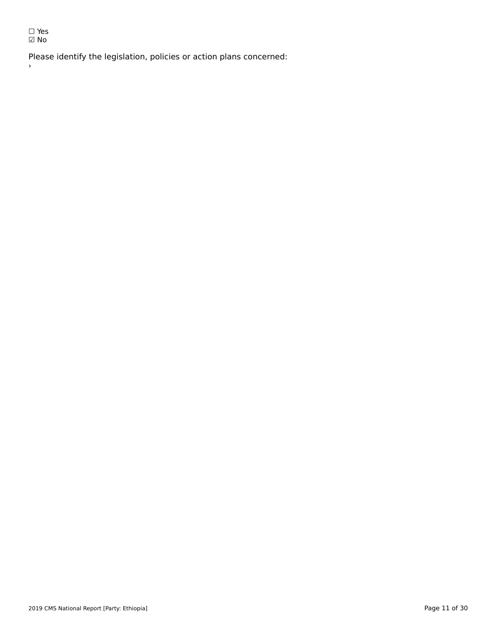☐ Yes ☑ No

 $\rightarrow$ 

Please identify the legislation, policies or action plans concerned: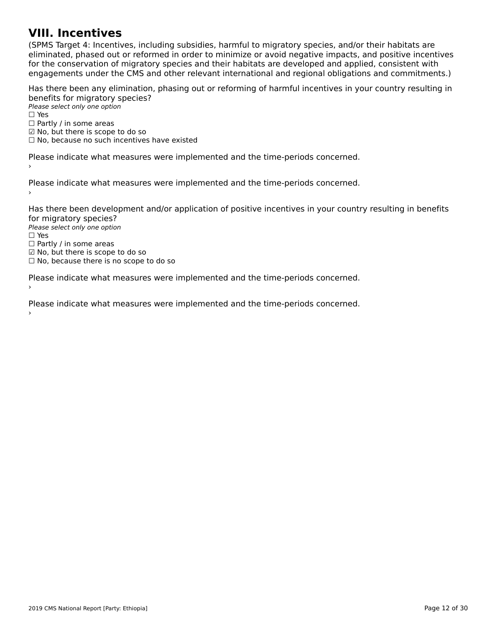### **VIII. Incentives**

(SPMS Target 4: Incentives, including subsidies, harmful to migratory species, and/or their habitats are כדיום ומונסות iarget 4. Incentives, including subsidies, naminal to migratory species, and/or their nabitats are<br>eliminated, phased out or reformed in order to minimize or avoid negative impacts, and positive incentives eminiaced, phased out of reformed in order to minimize or avoid negative impacts, and positive incenti<br>for the conservation of migratory species and their habitats are developed and applied, consistent with for the conservation of migratory species and their nabitats are developed and applied, consistent with<br>engagements under the CMS and other relevant international and regional obligations and commitments.)

Has there been any elimination, phasing out or reforming of harmful incentives in your country resulting in benefits for migratory species?

<del>Defients for fingfatory</del> 5<br>Please select only one option  $\square$  Yes □ Partly / in some areas □ Fartly / iii some areas<br>☑ No, but there is scope to do so ⊠ No, but there is scope to do so<br>□ No, because no such incentives have existed

Please indicate what measures were implemented and the time-periods concerned.

Please indicate what measures were implemented and the time-periods concerned.

Has there been development and/or application of positive incentives in your country resulting in benefits for migratory species? ror ringratory spectes.<br>Please select only one option

*riease*<br>□ Yes □ ies<br>□ Partly / in some areas □ Fartly / iii some areas<br>☑ No, but there is scope to do so

⊠ No, but there is scope to do so<br>□ No, because there is no scope to do so

Please indicate what measures were implemented and the time-periods concerned. ›

Please indicate what measures were implemented and the time-periods concerned.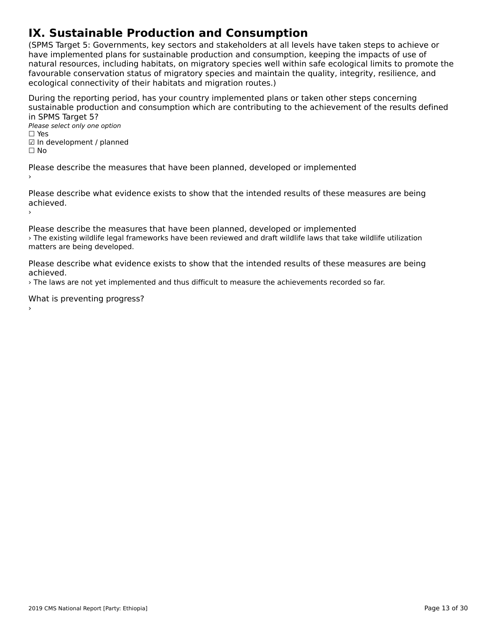# **IX. Sustainable Production and Consumption**

(SPMS Target 5: Governments, key sectors and stakeholders at all levels have taken steps to achieve or have implemented plans for sustainable production and consumption, keeping the impacts of use of natural resources, including habitats, on migratory species well within safe ecological limits to promote the favourable conservation status of migratory species and maintain the quality, integrity, resilience, and ecological connectivity of their habitats and migration routes.)

During the reporting period, has your country implemented plans or taken other steps concerning sustainable production and consumption which are contributing to the achievement of the results defined in SPMS Target 5?in SPMS Target 5? Please select only one option

rıease<br>□ Yes □ ies<br>☑ In development / planned ☐ No

Please describe the measures that have been planned, developed or implemented

Please describe what evidence exists to show that the intended results of these measures are being achieved.achieved.<br>>

Please describe the measures that have been planned, developed or implemented › The existing wildlife legal frameworks have been reviewed and draft wildlife laws that take wildlife utilization me existing whalle legal its<br>matters are being developed.

Please describe what evidence exists to show that the intended results of these measures are being achieved.

› The laws are not yet implemented and thus difficult to measure the achievements recorded so far.

What is preventing progress?

2019 CMS National Report [Party: Ethiopia]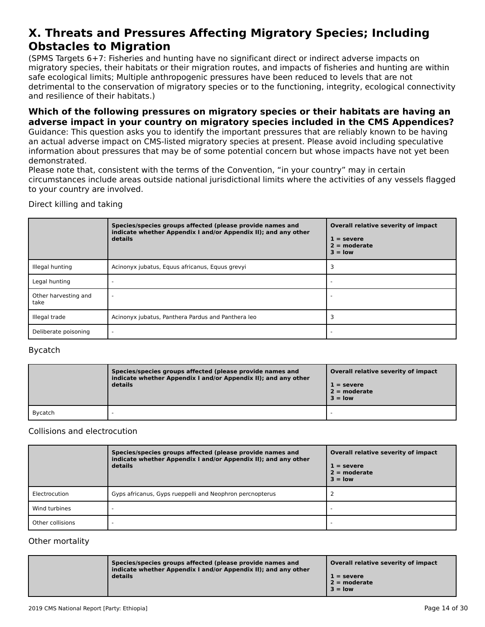#### **X. Threats and Pressures Affecting Migratory Species; Including Obstacles to MigrationObstacles to Migration**

(SPMS Targets 6+7: Fisheries and hunting have no significant direct or indirect adverse impacts onוסו כאיראכן, וואס הארטייט וואס ומילכל וואס הארטייט ווערכל מסיפור וואס מארטייט ווערכל מסיפור וואס מארטייט ווערכ<br>migratory species, their habitats or their migration routes, and impacts of fisheries and hunting are within migratory species, their nabitats of their migration routes, and impacts or ilsheries and numing a<br>safe ecological limits; Multiple anthropogenic pressures have been reduced to levels that are not sale ecological limits, Multiple antihopogenic pressures have been reduced to levels that are not<br>detrimental to the conservation of migratory species or to the functioning, integrity, ecological connectivity and resilience of their habitats.)

### **Which of the following pressures on migratory species or their habitats are having an adverse impact in your country on migratory species included in the CMS Appendices?**

Guidance: This question asks you to identify the important pressures that are reliably known to be having an actual adverse impact on CMS-listed migratory species at present. Please avoid including speculative an actual auverse impact on civis-listed migratory species at present. Flease avoid including speculative<br>information about pressures that may be of some potential concern but whose impacts have not yet been demonstrated.

Please note that, consistent with the terms of the Convention, "in your country" may in certain circumstances include areas outside national jurisdictional limits where the activities of any vessels flagged ch curristances include areas<br>to your country are involved.

Direct killing and taking

|                              | Species/species groups affected (please provide names and<br>indicate whether Appendix I and/or Appendix II); and any other<br>details | Overall relative severity of impact<br>$1 =$ severe<br>$2 =$ moderate<br>$3 = low$ |
|------------------------------|----------------------------------------------------------------------------------------------------------------------------------------|------------------------------------------------------------------------------------|
| Illegal hunting              | Acinonyx jubatus, Equus africanus, Equus grevyi                                                                                        |                                                                                    |
| Legal hunting                |                                                                                                                                        |                                                                                    |
| Other harvesting and<br>take |                                                                                                                                        |                                                                                    |
| Illegal trade                | Acinonyx jubatus, Panthera Pardus and Panthera leo                                                                                     |                                                                                    |
| Deliberate poisoning         |                                                                                                                                        |                                                                                    |

### Bycatch

|         | Species/species groups affected (please provide names and<br>indicate whether Appendix I and/or Appendix II); and any other<br>details | Overall relative severity of impact<br>$1 =$ severe<br>$2 =$ moderate<br>$3 =$ low |
|---------|----------------------------------------------------------------------------------------------------------------------------------------|------------------------------------------------------------------------------------|
| Bycatch |                                                                                                                                        |                                                                                    |

#### Collisions and electrocution

|                  | Species/species groups affected (please provide names and<br>indicate whether Appendix I and/or Appendix II); and any other<br>details | Overall relative severity of impact<br>$1 =$ severe<br>$2 =$ moderate<br>$3 =$ low |
|------------------|----------------------------------------------------------------------------------------------------------------------------------------|------------------------------------------------------------------------------------|
| Electrocution    | Gyps africanus, Gyps rueppelli and Neophron percnopterus                                                                               |                                                                                    |
| Wind turbines    |                                                                                                                                        |                                                                                    |
| Other collisions |                                                                                                                                        |                                                                                    |

### Other mortality

| Species/species groups affected (please provide names and<br>indicate whether Appendix I and/or Appendix II); and any other<br>details | Overall relative severity of impact<br>$1 =$ severe<br>$2 =$ moderate<br>$3 =$ low |
|----------------------------------------------------------------------------------------------------------------------------------------|------------------------------------------------------------------------------------|
|----------------------------------------------------------------------------------------------------------------------------------------|------------------------------------------------------------------------------------|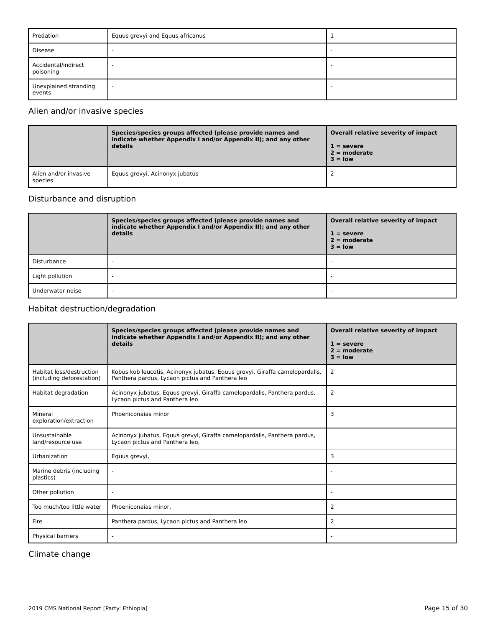| Predation                        | Equus grevyi and Equus africanus |   |
|----------------------------------|----------------------------------|---|
| Disease                          |                                  |   |
| Accidental/indirect<br>poisoning | -                                |   |
| Unexplained stranding<br>events  | $\overline{a}$                   | - |

### Alien and/or invasive species

|                                  | Species/species groups affected (please provide names and<br>indicate whether Appendix I and/or Appendix II); and any other<br>details | Overall relative severity of impact<br>$1 =$ severe<br>$2 =$ moderate<br>$3 = low$ |
|----------------------------------|----------------------------------------------------------------------------------------------------------------------------------------|------------------------------------------------------------------------------------|
| Alien and/or invasive<br>species | Equus grevyi, Acinonyx jubatus                                                                                                         |                                                                                    |

### Disturbance and disruption

|                  | Species/species groups affected (please provide names and<br>indicate whether Appendix I and/or Appendix II); and any other<br>details | Overall relative severity of impact<br>$1 =$ severe<br>$2 =$ moderate<br>$3 =$ low |
|------------------|----------------------------------------------------------------------------------------------------------------------------------------|------------------------------------------------------------------------------------|
| Disturbance      |                                                                                                                                        |                                                                                    |
| Light pollution  |                                                                                                                                        |                                                                                    |
| Underwater noise |                                                                                                                                        |                                                                                    |

### Habitat destruction/degradation

|                                                       | Species/species groups affected (please provide names and<br>indicate whether Appendix I and/or Appendix II); and any other<br>details | Overall relative severity of impact<br>$1 =$ severe<br>$2 = moderate$<br>$3 = \text{low}$ |
|-------------------------------------------------------|----------------------------------------------------------------------------------------------------------------------------------------|-------------------------------------------------------------------------------------------|
| Habitat loss/destruction<br>(including deforestation) | Kobus kob leucotis, Acinonyx jubatus, Equus grevyi, Giraffa camelopardalis,<br>Panthera pardus, Lycaon pictus and Panthera leo         | 2                                                                                         |
| Habitat degradation                                   | Acinonyx jubatus, Equus grevyi, Giraffa camelopardalis, Panthera pardus,<br>Lycaon pictus and Panthera leo                             | 2                                                                                         |
| Mineral<br>exploration/extraction                     | Phoeniconaias minor                                                                                                                    | 3                                                                                         |
| Unsustainable<br>land/resource use                    | Acinonyx jubatus, Equus grevyi, Giraffa camelopardalis, Panthera pardus,<br>Lycaon pictus and Panthera leo,                            |                                                                                           |
| Urbanization                                          | Equus grevyi,                                                                                                                          | 3                                                                                         |
| Marine debris (including<br>plastics)                 | $\sim$                                                                                                                                 |                                                                                           |
| Other pollution                                       |                                                                                                                                        |                                                                                           |
| Too much/too little water                             | Phoeniconaias minor,                                                                                                                   | 2                                                                                         |
| Fire                                                  | Panthera pardus, Lycaon pictus and Panthera leo                                                                                        | 2                                                                                         |
| Physical barriers                                     |                                                                                                                                        |                                                                                           |

Climate change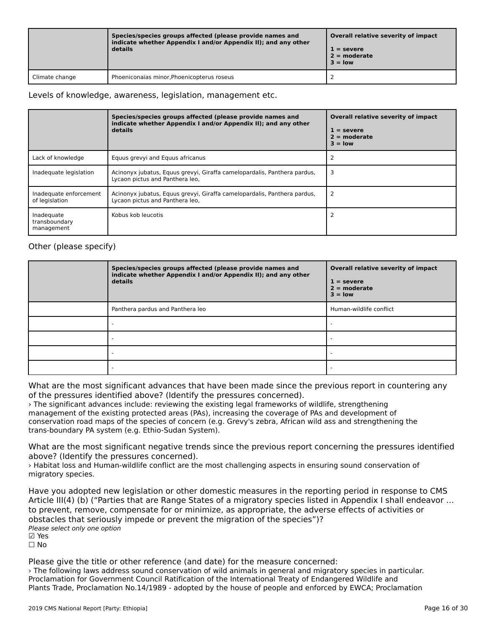|                | Species/species groups affected (please provide names and<br>indicate whether Appendix I and/or Appendix II); and any other<br>details | Overall relative severity of impact<br>$1 =$ severe<br>$2 =$ moderate<br>$3 = low$ |
|----------------|----------------------------------------------------------------------------------------------------------------------------------------|------------------------------------------------------------------------------------|
| Climate change | Phoeniconaias minor, Phoenicopterus roseus                                                                                             |                                                                                    |

### Levels of knowledge, awareness, legislation, management etc.

|                                           | Species/species groups affected (please provide names and<br>indicate whether Appendix I and/or Appendix II); and any other<br>details | Overall relative severity of impact<br>$1 =$ severe<br>$2 =$ moderate<br>$3 =$ low |
|-------------------------------------------|----------------------------------------------------------------------------------------------------------------------------------------|------------------------------------------------------------------------------------|
| Lack of knowledge                         | Equus grevyi and Equus africanus                                                                                                       |                                                                                    |
| Inadequate legislation                    | Acinonyx jubatus, Equus grevyi, Giraffa camelopardalis, Panthera pardus,<br>Lycaon pictus and Panthera leo,                            | 3                                                                                  |
| Inadequate enforcement<br>of legislation  | Acinonyx jubatus, Equus grevyi, Giraffa camelopardalis, Panthera pardus,<br>Lycaon pictus and Panthera leo,                            |                                                                                    |
| Inadequate<br>transboundary<br>management | Kobus kob leucotis                                                                                                                     |                                                                                    |

### Other (please specify)

| Species/species groups affected (please provide names and<br>indicate whether Appendix I and/or Appendix II); and any other<br>details | Overall relative severity of impact<br>$1 =$ severe<br>$2 =$ moderate<br>$3 = low$ |
|----------------------------------------------------------------------------------------------------------------------------------------|------------------------------------------------------------------------------------|
| Panthera pardus and Panthera leo                                                                                                       | Human-wildlife conflict                                                            |
|                                                                                                                                        |                                                                                    |
|                                                                                                                                        |                                                                                    |
|                                                                                                                                        |                                                                                    |
|                                                                                                                                        |                                                                                    |

What are the most significant advances that have been made since the previous report in countering any of the pressures identified above? (Identify the pressures concerned).

› The significant advances include: reviewing the existing legal frameworks of wildlife, strengthening The significant advances include. Teviewing the existing legal frameworks of wildlife, strengthening<br>management of the existing protected areas (PAs), increasing the coverage of PAs and development of management of the existing protected areas (FAS), increasing the coverage of FAS and development of<br>conservation road maps of the species of concern (e.g. Grevy's zebra, African wild ass and strengthening the trans-boundary PA system (e.g. Ethio-Sudan System).

What are the most significant negative trends since the previous report concerning the pressures identified what are the most significant negative tref<br>above? (Identify the pressures concerned).

above: (identify the pressures concerned).<br>> Habitat loss and Human-wildlife conflict are the most challenging aspects in ensuring sound conservation of migratory species.

Have you adopted new legislation or other domestic measures in the reporting period in response to CMS<br>Article III(4) (b) ("Parties that are Penne States of a migratory species listed in Appendix I shall endeavor to prevent, remove, remove, and the adverse or a minimized  $y$  species instead in Appendix 1 should be a  $\alpha$ to prevent, remove, compensate for or minimize, as appropriate, the adverse effects of activities or obstacles that seriously impede or prevent the migration of the species")? Please select only one option ☑ Yes☐ No

Please give the title or other reference (and date) for the measure concerned:

› The following laws address sound conservation of wild animals in general and migratory species in particular. Proclamation for Government Council Ratification of the International Treaty of Endangered Wildlife and Plants Trade, Proclamation No.14/1989 - adopted by the house of people and enforced by EWCA; Proclamation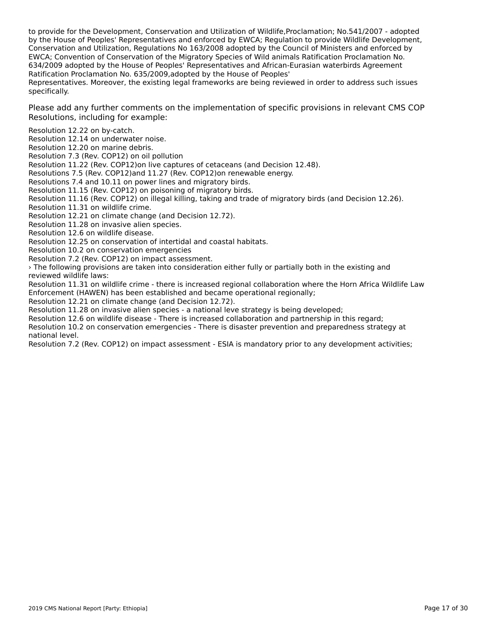to provide for the Development, Conservation and Utilization of Wildlife,Proclamation; No.541/2007 - adopted to provide for the Development, Conservation and Othization of Wildlife,Froclamation, N0.541/2007 - adopted<br>by the House of Peoples' Representatives and enforced by EWCA; Regulation to provide Wildlife Development, by the House of Feoples Representatives and enforced by EWCA, Regulation to provide whalle Developme<br>Conservation and Utilization, Regulations No 163/2008 adopted by the Council of Ministers and enforced by EWCA; Convention of Conservation of the Migratory Species of Wild animals Ratification Proclamation No. 634/2009 adopted by the House of Peoples' Representatives and African-Eurasian waterbirds Agreement Ratification Proclamation No. 635/2009,adopted by the House of Peoples'

Representatives. Moreover, the existing legal frameworks are being reviewed in order to address such issues<br>Representatives. Moreover, the existing legal frameworks are being reviewed in order to address such issues specifically.

Please add any further comments on the implementation of specific provisions in relevant CMS COP Resolutions, including for example:

Resolution 12.22 on by-catch.

Resolution 12.14 on underwater noise.

Resolution 12.20 on marine debris.

Resolution 7.3 (Rev. COP12) on oil pollution

Resolution 11.22 (Rev. COP12)on live captures of cetaceans (and Decision 12.48).

Resolutions 7.5 (Rev. COP12)and 11.27 (Rev. COP12)on renewable energy.

Resolutions 7.4 and 10.11 on power lines and migratory birds.

Resolution 11.15 (Rev. COP12) on poisoning of migratory birds.

Resolution 11.16 (Rev. COP12) on illegal killing, taking and trade of migratory birds (and Decision 12.26).

Resolution 11.31 on wildlife crime.

Resolution 12.21 on climate change (and Decision 12.72).

Resolution 11.28 on invasive alien species.

Resolution 12.6 on wildlife disease.

Resolution 12.25 on conservation of intertidal and coastal habitats.

Resolution 10.2 on conservation emergencies

Resolution 7.2 (Rev. COP12) on impact assessment.

› The following provisions are taken into consideration either fully or partially both in the existing and *r* rile rollowing provisic<br>reviewed wildlife laws:

reviewed wildlife laws.<br>Resolution 11.31 on wildlife crime - there is increased regional collaboration where the Horn Africa Wildlife Law Enforcement (HAWEN) has been established and became operational regionally;

Resolution 12.21 on climate change (and Decision 12.72).

Resolution 11.28 on invasive alien species - a national leve strategy is being developed;

Resolution 11.26 on invasive allen species - a hational leve strategy is being developed,<br>Resolution 12.6 on wildlife disease - There is increased collaboration and partnership in this regard;

Nesolution 12.0 on whalle disease - There is increased collaboration and partnership in this regard,<br>Resolution 10.2 on conservation emergencies - There is disaster prevention and preparedness strategy at

national level.<br>Resolution 7.2 (Rev. COP12) on impact assessment - ESIA is mandatory prior to any development activities;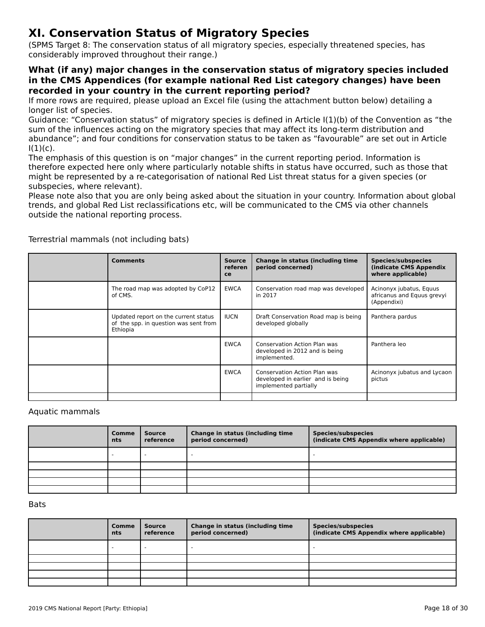# **XI. Conservation Status of Migratory Species**

(SPMS Target 8: The conservation status of all migratory species, especially threatened species, has considerably improved throughout their range.)

#### **What (if any) major changes in the conservation status of migratory species included in the CMS Appendices (for example national Red List category changes) have been recorded in your country in the current reporting period?**

If more rows are required, please upload an Excel file (using the attachment button below) detailing a<br>If more rows are required, please upload an Excel file (using the attachment button below) detailing a longer list of species.

fonger hat or species.<br>Guidance: "Conservation status" of migratory species is defined in Article I(1)(b) of the Convention as "the<br>sum of the influences action on the migratory species that may affect its long-term distri sum of the influences acting on the migratory species that may affect its long-term distribution and sum or the inhuences acting on the migratory species that may arrect its long-term distribution and<br>abundance"; and four conditions for conservation status to be taken as "favourable" are set out in Article<br>

ו, ו.,<br>The emphasis of this question is on "major changes" in the current reporting period. Information is therefore expected here only where particularly notable shifts in status have occurred, such as those thatmight be represented by a re-categorisation of national Red List threat status for a given species (or subspecies, where relevant).

subspecies, where relevant).<br>Please note also that you are only being asked about the situation in your country. Information about global trends, and global Red List reclassifications etc, will be communicated to the CMS via other channels outside the national reporting process.

| <b>Comments</b>                                                                           | <b>Source</b><br>referen<br>ce | Change in status (including time<br>period concerned)                                      | Species/subspecies<br>(indicate CMS Appendix<br>where applicable)    |
|-------------------------------------------------------------------------------------------|--------------------------------|--------------------------------------------------------------------------------------------|----------------------------------------------------------------------|
| The road map was adopted by CoP12<br>of CMS.                                              | <b>EWCA</b>                    | Conservation road map was developed<br>in 2017                                             | Acinonyx jubatus, Equus<br>africanus and Equus grevyi<br>(Appendixi) |
| Updated report on the current status<br>of the spp. in question was sent from<br>Ethiopia | <b>IUCN</b>                    | Draft Conservation Road map is being<br>developed globally                                 | Panthera pardus                                                      |
|                                                                                           | <b>EWCA</b>                    | <b>Conservation Action Plan was</b><br>developed in 2012 and is being<br>implemented.      | Panthera leo                                                         |
|                                                                                           | <b>EWCA</b>                    | Conservation Action Plan was<br>developed in earlier and is being<br>implemented partially | Acinonyx jubatus and Lycaon<br>pictus                                |
|                                                                                           |                                |                                                                                            |                                                                      |

Terrestrial mammals (not including bats)

### Aquatic mammals

| Comme<br><b>nts</b>      | <b>Source</b><br>reference | Change in status (including time<br>period concerned) | Species/subspecies<br>(indicate CMS Appendix where applicable) |
|--------------------------|----------------------------|-------------------------------------------------------|----------------------------------------------------------------|
| $\overline{\phantom{a}}$ |                            |                                                       |                                                                |
|                          |                            |                                                       |                                                                |
|                          |                            |                                                       |                                                                |
|                          |                            |                                                       |                                                                |
|                          |                            |                                                       |                                                                |

#### **Bats**

| Comme<br>nts | Source<br>reference | Change in status (including time<br>period concerned) | <b>Species/subspecies</b><br>(indicate CMS Appendix where applicable) |
|--------------|---------------------|-------------------------------------------------------|-----------------------------------------------------------------------|
|              |                     |                                                       |                                                                       |
|              |                     |                                                       |                                                                       |
|              |                     |                                                       |                                                                       |
|              |                     |                                                       |                                                                       |
|              |                     |                                                       |                                                                       |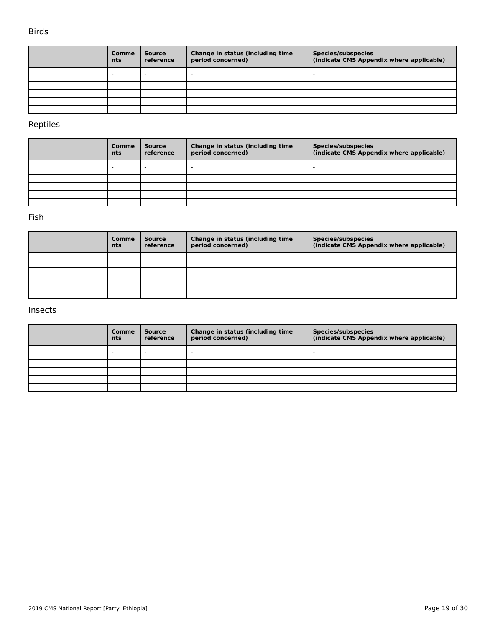#### Birds

| Comme<br>nts | <b>Source</b><br>reference | Change in status (including time<br>period concerned) | <b>Species/subspecies</b><br>(indicate CMS Appendix where applicable) |
|--------------|----------------------------|-------------------------------------------------------|-----------------------------------------------------------------------|
|              |                            |                                                       |                                                                       |
|              |                            |                                                       |                                                                       |
|              |                            |                                                       |                                                                       |
|              |                            |                                                       |                                                                       |
|              |                            |                                                       |                                                                       |

### Reptiles

| <b>Comme</b><br>nts | Source<br>reference | Change in status (including time<br>period concerned) | <b>Species/subspecies</b><br>(indicate CMS Appendix where applicable) |
|---------------------|---------------------|-------------------------------------------------------|-----------------------------------------------------------------------|
| -                   |                     |                                                       |                                                                       |
|                     |                     |                                                       |                                                                       |
|                     |                     |                                                       |                                                                       |
|                     |                     |                                                       |                                                                       |
|                     |                     |                                                       |                                                                       |

### Fish

| Comme<br>nts | <b>Source</b><br>reference | Change in status (including time<br>period concerned) | Species/subspecies<br>(indicate CMS Appendix where applicable) |
|--------------|----------------------------|-------------------------------------------------------|----------------------------------------------------------------|
|              |                            |                                                       |                                                                |
|              |                            |                                                       |                                                                |
|              |                            |                                                       |                                                                |
|              |                            |                                                       |                                                                |
|              |                            |                                                       |                                                                |

#### Insects

| Comme<br>nts | <b>Source</b><br>reference | Change in status (including time<br>period concerned) | <b>Species/subspecies</b><br>(indicate CMS Appendix where applicable) |
|--------------|----------------------------|-------------------------------------------------------|-----------------------------------------------------------------------|
|              | -                          |                                                       |                                                                       |
|              |                            |                                                       |                                                                       |
|              |                            |                                                       |                                                                       |
|              |                            |                                                       |                                                                       |
|              |                            |                                                       |                                                                       |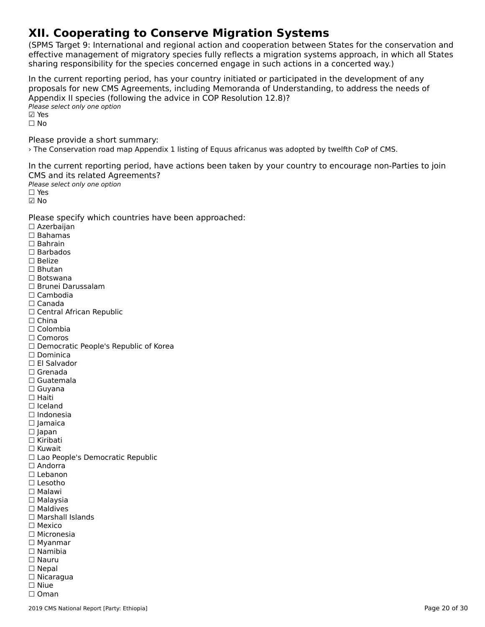# **XII. Cooperating to Conserve Migration Systems**

(SPMS Target 9: International and regional action and cooperation between States for the conservation and effective management of migratory species fully reflects a migration systems approach, in which all States enective management of migratory species runy renects a migration systems approach, in w<br>sharing responsibility for the species concerned engage in such actions in a concerted way.)

In the current reporting period, has your country initiated or participated in the development of any In the current reporting period, has your country initiated or participated in the development or any<br>proposals for new CMS Agreements, including Memoranda of Understanding, to address the needs of ∧pperial∧ if species (for<br>Please select only one option ⊠ Yes ☐ NoPlease provide a short summary:

› The Conservation road map Appendix 1 listing of Equus africanus was adopted by twelfth CoP of CMS.

In the current reporting period, have actions been taken by your country to encourage non-Parties to join CMS and its related Agreements?

Please select only one option

☐ Yes☑ No

Please specify which countries have been approached:

☐ Azerbaijan ☐ Bahamas ☐ Bahrain☐ Barbados □ Barba<sub>'</sub><br>□ Belize ☐ Bhutan☐ Botswana ☐ Brunei Darussalam☐ Cambodia☐ Canada□ Canada<br>□ Central African Republic □ China<br>□ Colombia ☐ Comoros□ Comoros<br>□ Democratic People's Republic of Korea □ Dominica<br>□ El Salvador ☐ Grenada☐ Guatemala☐ Guyana ☐ Haiti☐ Iceland☐ Indonesia☐ Jamaica ☐ Japan □ Japan<br>□ Kiribati ☐ Kuwait □ Rawait<br>□ Lao People's Democratic Republic<br>□ Andorra □ Andorra<br>□ Lebanon ☐ Lesotho ☐ Malawi☐ Malaysia□ Maldives ☐ Marshall Islands☐ Mexico ☐ Micronesia □ Microriesi<br>□ Myanmar ☐ Nauru□ Nauru<br>□ Nepal ☐ Nicaragua☐ Niue☐ Oman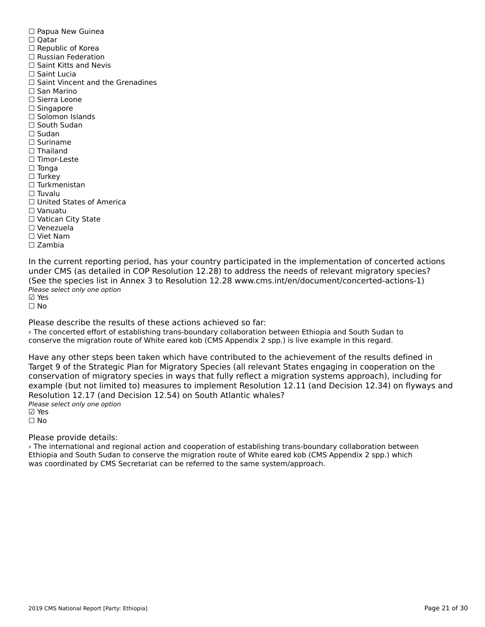☐ Papua New Guinea □ rapua<br>□ Qatar ☐ Republic of Korea☐ Russian Federation□ Russian Federation<br>□ Saint Kitts and Nevis ☐ Saint Lucia□ Saint Vincent and the Grenadines ☐ San Marino ☐ Sierra Leone ☐ Singapore ☐ Solomon Islands□ South Sudan ☐ Sudan ☐ Suriname□ Thailand ☐ Timor-Leste☐ Tonga ☐ Turkey ☐ Turkmenistan $\Box$  Tuvalu ☐ United States of America☐ Vanuatu□ vanuatu<br>□ Vatican City State ☐ Venezuela☐ Viet Nam☐ Zambia

In the current reporting period, has your country participated in the implementation of concerted actions<br>under CMS (as detailed in COP Resolution 12.29) to address the needs of relevant migratory species? (See the species list in Annex 3 to Resolution 12.28 www.cms.int/en/document/concerted-actions-1) Please select only one option ☑ Yes

☐ No

Please describe the results of these actions achieved so far:

› The concerted effort of establishing trans-boundary collaboration between Ethiopia and South Sudan to conserve the migration route of White eared kob (CMS Appendix 2 spp.) is live example in this regard.

Have any other steps been taken which have contributed to the achievement of the results defined in Target 9 of the Strategic Plan for Migratory Species (all relevant States engaging in cooperation on the rarget 9 of the Strategic Flam for migratory Species (all relevant States engaging in cooperation on the<br>conservation of migratory species in ways that fully reflect a migration systems approach), including for example (but not limited to) measures to implement Resolution 12.11 (and Decision 12.34) on flyways and Resolution 12.17 (and Decision 12.54) on South Atlantic whales? Please select only one option ☑ Yes

☐ No

Please provide details:

› The international and regional action and cooperation of establishing trans-boundary collaboration between Ethiopia and South Sudan to conserve the migration route of White eared kob (CMS Appendix 2 spp.) which was coordinated by CMS Secretariat can be referred to the same system/approach.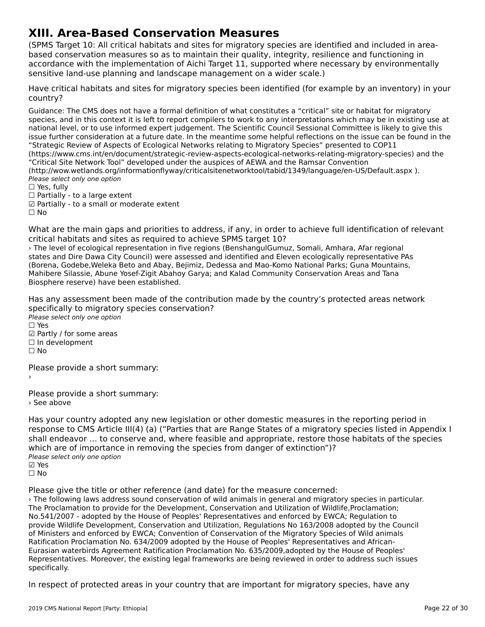### **XIII. Area-Based Conservation Measures**

(SPMS Target 10: All critical habitats and sites for migratory species are identified and included in areabased conservation measures so as to maintain their quality, integrity, resilience and functioning in based conservation measures so as to maintain their quality, integrity, resilience and runctioning in<br>accordance with the implementation of Aichi Target 11, supported where necessary by environmentally sensitive land-use planning and landscape management on a wider scale.)

Have critical habitats and sites for migratory species been identified (for example by an inventory) in your country?

Guidance: The CMS does not have a formal definition of what constitutes a "critical" site or habitat for migratoryspecies, and in this context it is left to report compilers to work to any interpretations which may be in existing use at species, and in this context it is left to report compliers to work to any interpretations which may be in existing use<br>national level, or to use informed expert judgement. The Scientific Council Sessional Committee is lik issue further consideration at a future date. In the meantime some helpful reflections on the issue can be found in the "Strategic Review of Aspects of Ecological Networks relating to Migratory Species" presented to COP11 (https://www.cms.int/en/document/strategic-review-aspects-ecological-networks-relating-migratory-species) and the "Critical Site Network Tool" developed under the auspices of AEWA and the Ramsar Convention (http://wow.wetlands.org/informationflyway/criticalsitenetworktool/tabid/1349/language/en-US/Default.aspx ). Please select only one option ☐ Yes, fully

 $\Box$  Yes, fully

□ Tes, Tuny<br>□ Partially - to a large extent

☑ Partially - to a small or moderate extent

☐ No

What are the main gaps and priorities to address, if any, in order to achieve full identification of relevant what are the main gaps and priorities to address, if any, in order<br>critical habitats and sites as required to achieve SPMS target 10?

› The level of ecological representation in five regions (BenshangulGumuz, Somali, Amhara, Afar regional states and Dire Dawa City Council) were assessed and identified and Eleven ecologically representative PAs states and Dire Dawa City Council, were assessed and identified and Lieven ecologically representative FA:<br>(Borena, Godebe,Weleka Beto and Abay, Bejimiz, Dedessa and Mao-Komo National Parks; Guna Mountains, Mahibere Silassie, Abune Yosef-Zigit Abahoy Garya; and Kalad Community Conservation Areas and Tana Manibere Shassie, Abdrie Toser-Zigit Abdrio<br>Biosphere reserve) have been established.

Has any assessment been made of the contribution made by the country's protected areas network rias any assessment been made or the contribi<br>specifically to migratory species conservation? Please select only one option

☐ Yes

☑ Partly / for some areas ☐ In development

□ in development<br>□ No

Please provide a short summary:›

Please provide a short summary:› See above

Has your country adopted any new legislation or other domestic measures in the reporting period in rias your country adopted any new regislation or other domestic measures in the reporting period in<br>response to CMS Article III(4) (a) ("Parties that are Range States of a migratory species listed in Appendix I shall endeavor … to conserve and, where feasible and appropriate, restore those habitats of the species shall endeavor ... to conserve and, where reasible and appropriate, restore the<br>which are of importance in removing the species from danger of extinction")? winch are or importance<br>Please select only one option ☑ Yesים וים<br>⊡ No

Please give the title or other reference (and date) for the measure concerned:

› The following laws address sound conservation of wild animals in general and migratory species in particular. The Proclamation to provide for the Development, Conservation and Utilization of Wildlife,Proclamation; No.541/2007 - adopted by the House of Peoples' Representatives and enforced by EWCA; Regulation toprovide Wildlife Development, Conservation and Utilization, Regulations No 163/2008 adopted by the Council of Ministers and enforced by EWCA; Convention of Conservation of the Migratory Species of Wild animals Ratification Proclamation No. 634/2009 adopted by the House of Peoples' Representatives and African-Eurasian waterbirds Agreement Ratification Proclamation No. 635/2009,adopted by the House of Peoples' Representatives. Moreover, the existing legal frameworks are being reviewed in order to address such issues nepresentar<br>specifically.

In respect of protected areas in your country that are important for migratory species, have any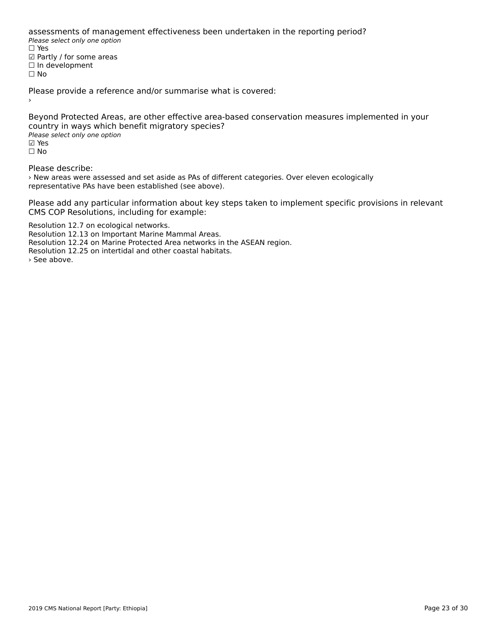assessments of management effectiveness been undertaken in the reporting period? assessments of manage<br>Please select only one option ☐ Yes☑ Partly / for some areas⊠ raitiy / ior some<br>□ In development ☐ No

Please provide a reference and/or summarise what is covered:

Beyond Protected Areas, are other effective area-based conservation measures implemented in your country in ways which benefit migratory species? Please select only one option ☑ Yesים וים<br>⊡ No

Please describe:

› New areas were assessed and set aside as PAs of different categories. Over eleven ecologically representative PAs have been established (see above).

Please add any particular information about key steps taken to implement specific provisions in relevant CMS COP Resolutions, including for example:

Resolution 12.7 on ecological networks. Resolution 12.13 on Important Marine Mammal Areas. Resolution 12.24 on Marine Protected Area networks in the ASEAN region. Resolution 12.25 on intertidal and other coastal habitats.› See above.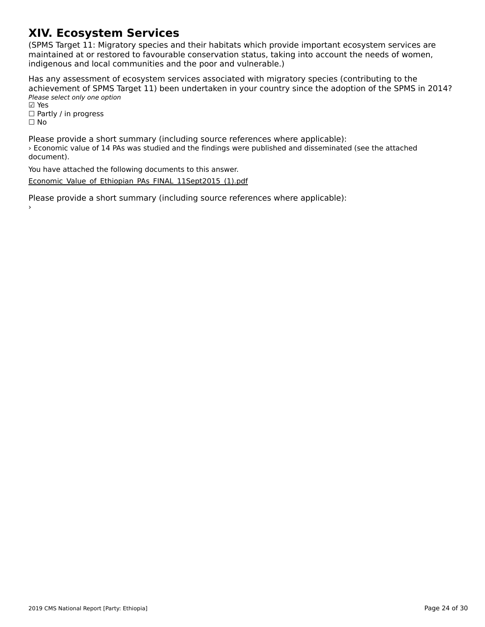# **XIV. Ecosystem Services**

(SPMS Target 11: Migratory species and their habitats which provide important ecosystem services are ה השומר ומודע האודט, ומודע האודט, ומודע האודע ומודע האודע ומודע האודע ומודע האודע ומודע האודע ומודע האודע וואס<br>,maintained at or restored to favourable conservation status, taking into account the needs of women indification at of restored to ravourable conservation status, taking<br>indigenous and local communities and the poor and vulnerable.)

Has any assessment of ecosystem services associated with migratory species (contributing to the achievement of SPMS Target 11) been undertaken in your country since the adoption of the SPMS in 2014? active verticite of 51 145 14<br>Please select only one option riease<br>☑ Yes

☐ Partly / in progress ☐ No

Please provide a short summary (including source references where applicable): › Economic value of 14 PAs was studied and the findings were published and disseminated (see the attached *,* Leonomic<br>document).

You have attached the following documents to this answer.

[Economic\\_Value\\_of\\_Ethiopian\\_PAs\\_FINAL\\_11Sept2015\\_\(1\).pdf](http://cms-ort.ort-production.linode.unep-wcmc.org/answers/2671042/documents/1951)

Please provide a short summary (including source references where applicable):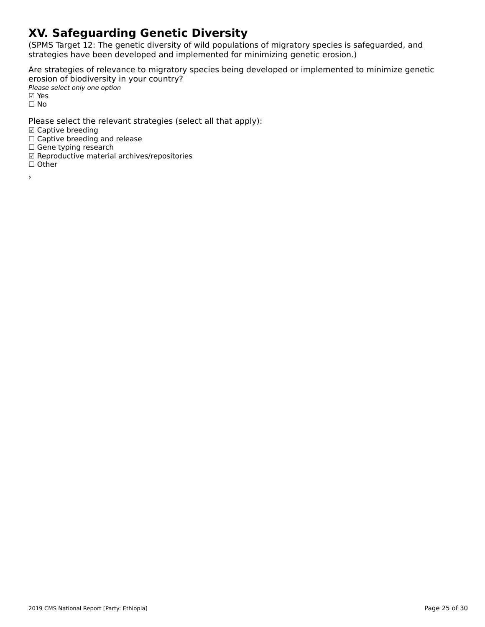# **XV. Safeguarding Genetic Diversity**

(SPMS Target 12: The genetic diversity of wild populations of migratory species is safeguarded, and strategies have been developed and implemented for minimizing genetic erosion.)

Are strategies of relevance to migratory species being developed or implemented to minimize genetic erosion of biodiversity in your country? Please select only one option riease<br>☑ Yes

☐ No

Please select the relevant strategies (select all that apply):

☑ Captive breeding

□ Captive breeding<br>□ Captive breeding and release

□ Captive breeding and<br>□ Gene typing research

☑ Reproductive material archives/repositories

⊠ ∩∈pro<br>□ Other

›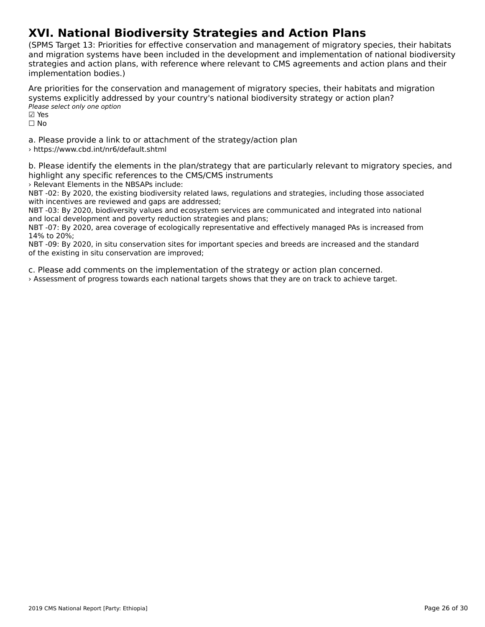# **XVI. National Biodiversity Strategies and Action Plans**

(SPMS Target 13: Priorities for effective conservation and management of migratory species, their habitats and migration systems have been included in the development and implementation of national biodiversity and imgradon systems have been included in the development and implementation or national biodiversi<br>strategies and action plans, with reference where relevant to CMS agreements and action plans and their implementation bodies.)

Are priorities for the conservation and management of migratory species, their habitats and migration systems explicitly addressed by your country's national biodiversity strategy or action plan? Please select only one option ☑ Yes⊠ Yes

☐ No

a. Please provide a link to or attachment of the strategy/action plan › https://www.cbd.int/nr6/default.shtml

b. Please identify the elements in the plan/strategy that are particularly relevant to migratory species, and highlight any specific references to the CMS/CMS instruments

› Relevant Elements in the NBSAPs include:

NBT -02: By 2020, the existing biodiversity related laws, regulations and strategies, including those associated wbit for the reviewed and gaps are addressed;<br>with incentives are reviewed and gaps are addressed;

with incentives are reviewed and gaps are addressed,<br>NBT -03: By 2020, biodiversity values and ecosystem services are communicated and integrated into national and local development and poverty reduction strategies and plans;<br>and local development and poverty reduction strategies and plans;

and local development and poverty reduction strategies and plans,<br>NBT -07: By 2020, area coverage of ecologically representative and effectively managed PAs is increased from 4 עם . ישר .<br>14% to 20%;

14% to 20%,<br>NBT -09: By 2020, in situ conservation sites for important species and breeds are increased and the standard of the existing in situ conservation sites for in<br>of the existing in situ conservation are improved;

c. Please add comments on the implementation of the strategy or action plan concerned.

› Assessment of progress towards each national targets shows that they are on track to achieve target.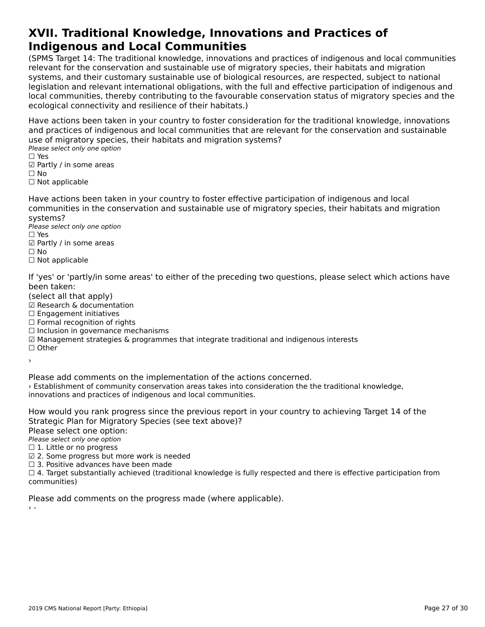#### **XVII. Traditional Knowledge, Innovations and Practices of Indigenous and Local CommunitiesIndigenous and Local Communities**

(SPMS Target 14: The traditional knowledge, innovations and practices of indigenous and local communities relevant for the conservation and sustainable use of migratory species, their habitats and migration<br>relevant for the conservation and sustainable use of migratory species, their habitats and migration relevant for the conservation and sustainable use of migratory species, their nabitats and migration<br>systems, and their customary sustainable use of biological resources, are respected, subject to national systems, and their customary sustainable use or biological resources, are respected, subject to hational<br>legislation and relevant international obligations, with the full and effective participation of indigenous and<br>legis local connectivities, thereby continuumy to the layou and conservation status of migratory species and the ecological connectivity and resilience of their habitats.)

Have actions been taken in your country to foster consideration for the traditional knowledge, innovations and practices of indigenous and local communities that are relevant for the conservation and sustainable use of migratory species, their habitats and migration systems?

ase of migratory specie<br>Please select only one option

□ ies<br>☑ Partly / in some areas

⊠ rai<br>□ No

□ Not applicable

Have actions been taken in your country to foster effective participation of indigenous and local communities in the conservation and sustainable use of migratory species, their habitats and migration systems?systems?

Please select only one option ☐ Yes

 $\square$  Yes □ ies<br>☑ Partly / in some areas

□ Not applicable

If 'yes' or 'partly/in some areas' to either of the preceding two questions, please select which actions have been taken:

been taken.<br>(select all that apply)

(select all that apply)<br>☑ Research & documentation

⊠ Research & documenta<br>□ Engagement initiatives

□ Engagement initiatives<br>□ Formal recognition of rights

□ Torman recognition or rights<br>□ Inclusion in governance mechanisms

☑ Management strategies & programmes that integrate traditional and indigenous interests

☐ Other›

Please add comments on the implementation of the actions concerned. › Establishment of community conservation areas takes into consideration the the traditional knowledge, **Examismment of community conservation areas takes into conservations and practices of indigenous and local communities.** 

How would you rank progress since the previous report in your country to achieving Target 14 of the

Strategic mail for migrate<br>Please select one option:

∩ease select one option<br>Please select only one option  $\Box$  1. Little or no progress

☑ 2. Some progress but more work is needed

⊠ 2. Some progress but more work is ne<br>□ 3. Positive advances have been made

 $\Box$  3. Toshive advances have been made<br> $\Box$  4. Target substantially achieved (traditional knowledge is fully respected and there is effective participation from

Please add comments on the progress made (where applicable).

 $\rightarrow$  -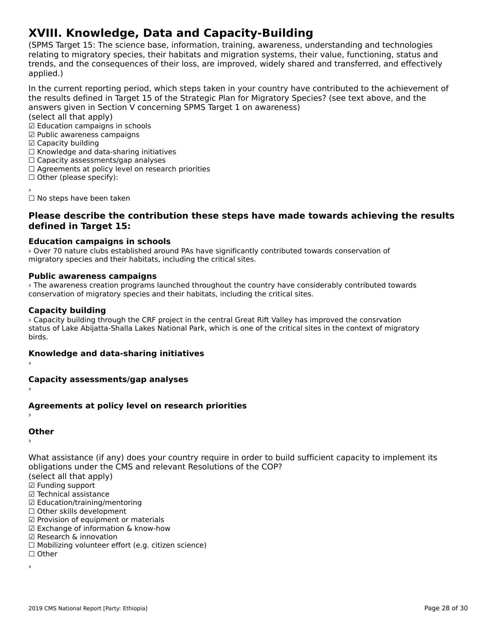# **XVIII. Knowledge, Data and Capacity-Building**

(SPMS Target 15: The science base, information, training, awareness, understanding and technologies ודה ומו הוירוס, anyet ו- the science base, information, training, awareness, understanding and technologies<br>relating to migratory species, their habitats and migration systems, their value, functioning, status and relating to migratory species, their habitats and migration systems, their value, functioning, status and<br>trends, and the consequences of their loss, are improved, widely shared and transferred, and effectively applied.)

In the current reporting period, which steps taken in your country have contributed to the achievement of answers given in Section V concerning Space in Section V concerning Space Section V concerning Space in the state of the Section V concerning Space in Section V concerning Space in Section V concerning Space in Section V c answers given in Section V concerning SPMS Target 1 on awareness)

(select all that apply)

☑ Education campaigns in schools

- ☑ Public awareness campaigns ☑ Capacity building
- ☑ Capacity building
- ⊠ Capacity bununig<br>□ Knowledge and data-sharing initiatives
- □ Knowledge and data-sharing initiativ<br>□ Capacity assessments/gap analyses
- □ Capacity assessments/yap anaryses<br>□ Agreements at policy level on research priorities

□ Agreements at policy is<br>□ Other (please specify):

☐ No steps have been taken

#### **Please describe the contribution these steps have made towards achieving the results defined in Target 15:**

### **Education campaigns in schools**

› Over 70 nature clubs established around PAs have significantly contributed towards conservation of migratory species and their habitats, including the critical sites.

### **Public awareness campaigns**

› The awareness creation programs launched throughout the country have considerably contributed towards conservation of migratory species and their habitats, including the critical sites.

### **Capacity building**

› Capacity building through the CRF project in the central Great Rift Valley has improved the consrvationstatus of Lake Abijatta-Shalla Lakes National Park, which is one of the critical sites in the context of migratory status<br>birds.

## **Knowledge and data-sharing initiatives** ›

## **Capacity assessments/gap analyses** ›

## **Agreements at policy level on research priorities** ›

## **Other**

What assistance (if any) does your country require in order to build sufficient capacity to implement its obligations under the CMS and relevant Resolutions of the COP? (select all that apply)

- 
- ☑ Funding support
- ⊠ Tunding support<br>☑ Technical assistance
- ⊠ Technical assistance<br>☑ Education/training/mentoring
- ☑ Education/training/mento<br>□ Other skills development
- □ Other skills development<br>☑ Provision of equipment or materials
- ☑ Exchange of information & know-how
- ☑ Research & innovation
- ☐ Mobilizing volunteer effort (e.g. citizen science)

☐ Other

›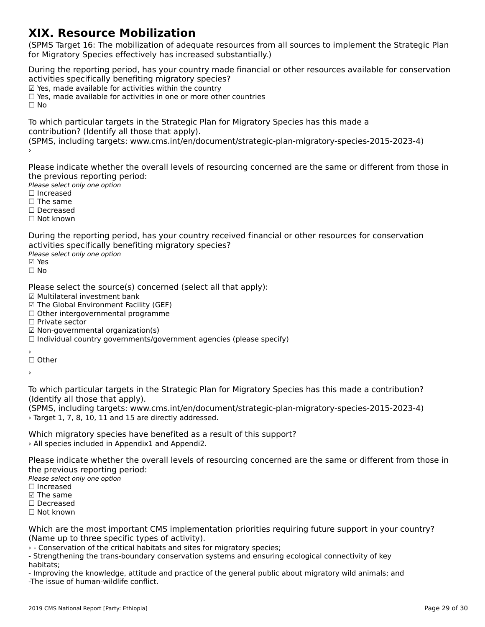### **XIX. Resource Mobilization**

(SPMS Target 16: The mobilization of adequate resources from all sources to implement the Strategic Plan for Migratory Species effectively has increased substantially.)for Migratory Species effectively has increased substantially.)

During the reporting period, has your country made financial or other resources available for conservation activities specifically benefiting migratory species? activities specifically benefiting imgratory specie<br>☑ Yes, made available for activities within the country ⊠ Tes, made available for activities within the country<br>□ Yes, made available for activities in one or more other countries ☐ No

To which particular targets in the Strategic Plan for Migratory Species has this made a

(SPMS, including targets: www.cms.int/en/document/strategic-plan-migratory-species-2015-2023-4) ›

Please indicate whether the overall levels of resourcing concerned are the same or different from those in the previous reporting period:

Please select only one option ☐ Increased

 $\Box$  Increased

□ increased<br>□ The same

☐ Decreased

☐ Not known

During the reporting period, has your country received financial or other resources for conservation activities specifically benefiting migratory species?

αਦਰ victos spectricany se<br>Please select only one option

☐ No

Please select the source(s) concerned (select all that apply):

Tiease select the source(3) of<br>☑ Multilateral investment bank

☑ The Global Environment Facility (GEF)

⊠ The Global Environment Facility (GEF)<br>□ Other intergovernmental programme

☐ Private sector

□ Titvate sector<br>☑ Non-governmental organization(s)

⊠ Non-governmentar organization(s)<br>□ Individual country governments/government agencies (please specify)

′<br>□ Other

›

To which particular targets in the Strategic Plan for Migratory Species has this made a contribution?

(SPMS, including targets: www.cms.int/en/document/strategic-plan-migratory-species-2015-2023-4) › Target 1, 7, 8, 10, 11 and 15 are directly addressed.

Which migratory species have benefited as a result of this support? › All species included in Appendix1 and Appendi2.

Please indicate whether the overall levels of resourcing concerned are the same or different from those in the previous reporting period:

Please select only one option ☐ Increased

 $\Box$  Increased

☑ The same

☐ Decreased ☐ Not known

Which are the most important CMS implementation priorities requiring future support in your country? (Name up to three specific types of activity).

› - Conservation of the critical habitats and sites for migratory species;

- Conservation of the childar habitats and sites for migratory species,<br>- Strengthening the trans-boundary conservation systems and ensuring ecological connectivity of key

- Improving the knowledge, attitude and practice of the general public about migratory wild animals; and -The issue of human-wildlife conflict.